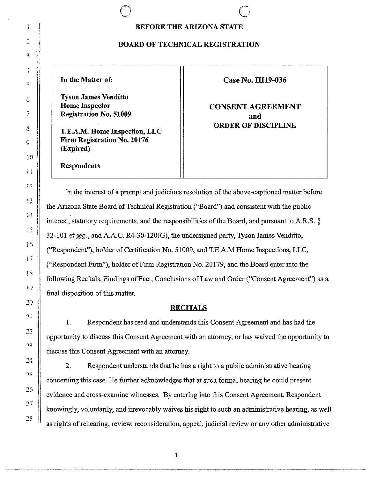# **BEFORE THE ARIZONA STATE**

#### **BOARD OF TECHNICAL REGISTRATION**

**Tyson James Venditto Registration No. 51009 and and** 

**T.E.A.M. Home Inspection, LLC Firm Registration No. 20176 (Expired)** 

 $\bigcirc$ 

**Respondents** 

## **In the Matter of:** Case No. **H119-036**

**Home Inspector 12.1 CONSENT AGREEMENT ORDER OF DISCIPLINE** 

In the interest of a prompt and judicious resolution of the above-captioned matter before the Arizona State Board of Technical Registration ("Board") and consistent with the public interest, statutory requirements, and the responsibilities of the Board, and pursuant to A.R.S. §  $32-101$  et seg., and A.A.C. R4-30-120(G), the undersigned party, Tyson James Venditto, ("Respondent"), holder of Certification No. 51009, and T.E.A.M Home Inspections, LLC, ("Respondent Firm"), holder of Firm Registration No. 20179, and the Board enter into the following Recitals, Findings of Fact, Conclusions of Law and Order ("Consent Agreement") as a final disposition of this matter.

## **RECITALS**

I. Respondent has read and understands this Consent Agreement and has had the opportunity to discuss this Consent Agreement with an attorney, or has waived the opportunity to discuss this Consent Agreement with an attorney.

2. Respondent understands that he has a right to a public administrative hearing concerning this case. He further acknowledges that at such formal hearing he could present evidence and cross-examine witnesses. By entering into this Consent Agreement, Respondent knowingly, voluntarily, and irrevocably waives his right to such an administrative hearing, as well as rights of rehearing, review, reconsideration, appeal, judicial review or any other administrative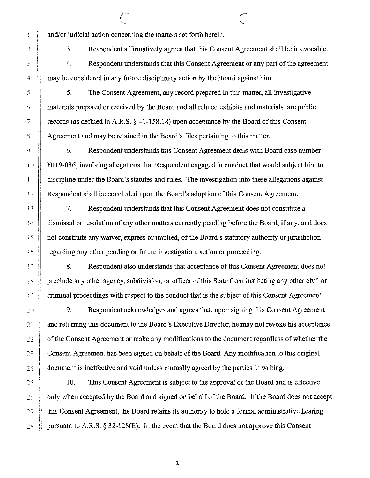and/or judicial action concerning the matters set forth herein.

3. Respondent affirmatively agrees that this Consent Agreement shall be irrevocable.

4. Respondent understands that this Consent Agreement or any part of the agreement may be considered in any future disciplinary action by the Board against him.

5. The Consent Agreement, any record prepared in this matter, all investigative materials prepared or received by the Board and all related exhibits and materials, are public records (as defined in A.RS.§ [41-158.18](https://41-158.18)) upon acceptance by the Board of this Consent Agreement and may be retained in the Board's files pertaining to this matter.

6. Respondent understands this Consent Agreement deals with Board case number HI19-036, involving allegations that Respondent engaged in conduct that would subject him to discipline under the Board's statutes and rules. The investigation into these allegations against Respondent shall be concluded upon the Board's adoption of this Consent Agreement.

7. Respondent understands that this Consent Agreement does not constitute a dismissal or resolution of any other matters currently pending before the Board, if any, and does not constitute any waiver, express or implied, of the Board's statutory authority or jurisdiction regarding any other pending or future investigation, action or proceeding.

8. Respondent also understands that acceptance of this Consent Agreement does not preclude any other agency, subdivision, or officer of this State from instituting any other civil or criminal proceedings with respect to the conduct that is the subject of this Consent Agreement.

9. Respondent acknowledges and agrees that, upon signing this Consent Agreement and returning this document to the Board's Executive Director, he may not revoke his acceptance of the Consent Agreement or make any modifications to the document regardless of whether the Consent Agreement has been signed on behalf of the Board. Any modification to this original document is ineffective and void unless mutually agreed by the parties in writing.

10. This Consent Agreement is subject to the approval of the Board and is effective only when accepted by the Board and signed on behalf of the Board. If the Board does not accept this Consent Agreement, the Board retains its authority to hold a formal administrative hearing pursuant to A.RS. § 32-128(E). In the event that the Board does not approve this Consent

Î

2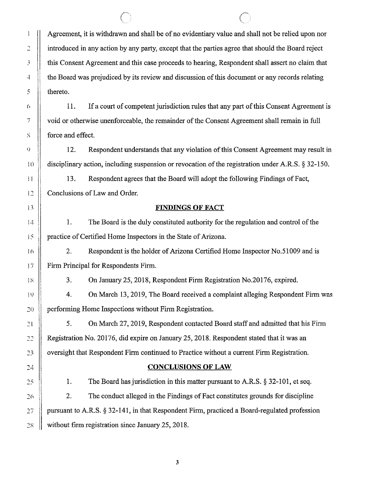Agreement, it is withdrawn and shall be of no evidentiary value and shall not be relied upon nor introduced in any action by any party, except that the parties agree that should the Board reject this Consent Agreement and this case proceeds to hearing, Respondent shall assert no claim that the Board was prejudiced by its review and discussion of this document or any records relating thereto.

11. If a court of competent jurisdiction rules that any part of this Consent Agreement is void or otherwise unenforceable, the remainder of the Consent Agreement shall remain in full force and effect.

12. Respondent understands that any violation of this Consent Agreement may result in disciplinary action, including suspension or revocation of the registration under A.R.S. § 32-150.

13. Respondent agrees that the Board will adopt the following Findings of Fact, Conclusions of Law and Order.

#### **FINDINGS OF FACT**

1. The Board is the duly constituted authority for the regulation and control of the practice of Certified Home Inspectors in the State of Arizona.

2. Respondent is the holder of Arizona Certified Home Inspector No.51009 and is Firm Principal for Respondents Firm.

3. On January 25, 2018, Respondent Firm Registration No. 20176, expired.

4. On March 13, 2019, The Board received a complaint alleging Respondent Firm was performing Home Inspections without Firm Registration.

5. On March 27, 2019, Respondent contacted Board staff and admitted that his Firm Registration No. 20176, did expire on January 25, 2018. Respondent stated that it was an oversight that Respondent Firm continued to Practice without a current Firm Registration.

### **CONCLUSIONS OF LAW**

1. The Board has jurisdiction in this matter pursuant to A.R.S. § 32-101, et seq.

2. The conduct alleged in the Findings of Fact constitutes grounds for discipline pursuant to A.R.S. § 32-141, in that Respondent Firm, practiced a Board-regulated profession without firm registration since January 25, 2018.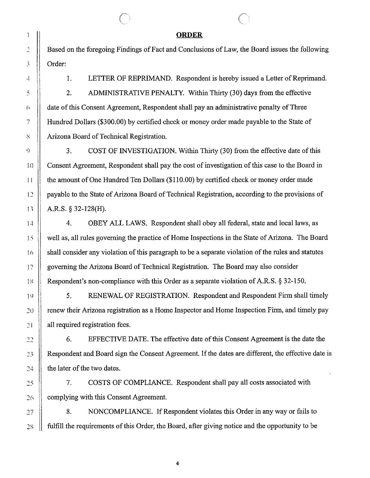#### **ORDER**

Based on the foregoing Findings of Fact and Conclusions of Law, the Board issues the following Order:

I. LETTER OF REPRIMAND. Respondent is hereby issued a Letter of Reprimand. 2. ADMINISTRATIVE PENALTY. Within Thirty (30) days from the effective date of this Consent Agreement, Respondent shall pay an administrative penalty of Three Hundred Dollars (\$300.00) by certified check or money order made payable to the State of Arizona Board of Technical Registration.

3. COST OF INVESTIGATION. Within Thirty (30) from the effective date of this Consent Agreement, Respondent shall pay the cost of investigation of this case to the Board in the amount of One Hundred Ten Dollars (\$110.00) by certified check or money order made payable to the State of Arizona Board of Technical Registration, according to the provisions of A.R.S. § 32-128(H).

4. OBEY ALL LAWS. Respondent shall obey all federal, state and local laws, as well as, all rules governing the practice of Home Inspections in the State of Arizona. The Board shall consider any violation of this paragraph to be a separate violation of the rules and statutes governing the Arizona Board of Technical Registration. The Board may also consider Respondent's non-compliance with this Order as a separate violation of A.R.S. § 32-150.

5. RENEWAL OF REGISTRATION. Respondent and Respondent Firm shall timely renew their Arizona registration as a Home Inspector and Home Inspection Firm, and timely pay all required registration fees.

6. EFFECTIVE DATE. The effective date of this Consent Agreement is the date the Respondent and Board sign the Consent Agreement. If the dates are different, the effective date is the later of the two dates.

7. COSTS OF COMPLIANCE. Respondent shall pay all costs associated with complying with this Consent Agreement.

8. NONCOMPLIANCE. If Respondent violates this Order in any way or fails to fulfill the requirements of this Order, the Board, after giving notice and the opportunity to be

4